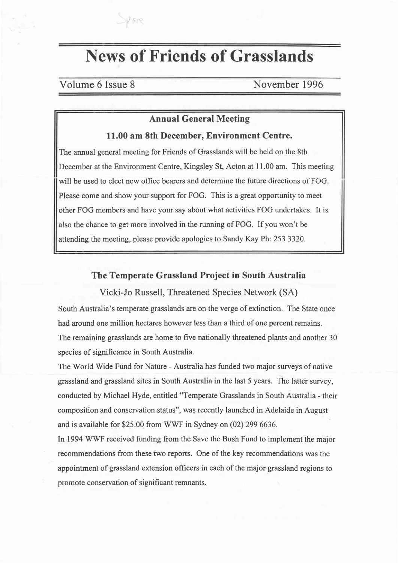# News of Friends of Grasslands

# Volume 6 Issue 8 November 1996

 $\gamma$ are

# Annual General Meeting

#### 11.00 am 8th December, Environment Centre.

The annual general meeting for Friends of Grasslands will be held on the 8th December at the Environment Centre, Kingsley St, Acton at I 1.00 am. This meeting will be used to elect new office bearers and determine the future directions of FOG. Please come and show your support for FOG. This is a great opportunity to meet other FOG members and have your say about what activities FOG undertakes. It is also the chance to get more involved in the running of FOG. If you won't be attending the meeting, please provide apologies to Sandy Kay Ph: 253 3320.

### The Temperate Grassland Project in South Australia

Vicki-Jo Russell, Threatened Species Network (SA)

South Australia's temperate grasslands are on the verge of extinction. The State once had around one million hectares however less than a third of one percent remains. The remaining grasslands are home to five nationally threatened plants and another 30 species of significance in South Australia.

The World Wide Fund for Nature - Australia has funded two major surveys of native grassland and grassland sites in South Australia in the last 5 years. The latter survey, conducted by Michael Hyde, entitled "Temperate Grasslands in South Australia - their composition and conservation status", was recently launched in Adelaide in August and is available for \$25.00 from WWF in Sydney on (02) 299 6636.

In 1994 WWF received funding from the Save the Bush Fund to implement the major recommendations from these two reports. One of the key recommendations was the appointment of grassland extension officers in each of the major grassland regions to promote conservation of significant remnants.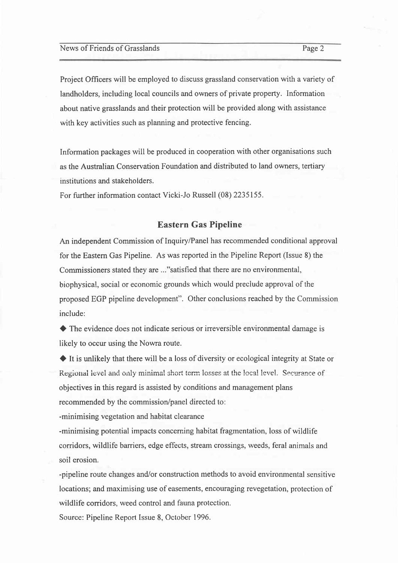News of Friends of Grasslands Page 2

Project Officers will be employed to discuss grassland conservation with a variety of landholders, including local councils and owners of private property. Information about native grasslands and their protection will be provided along with assistance with key activities such as planning and protective fencing.

Information packages will be produced in cooperation with other organisations such as the Australian Conservation Foundation and distributed to land owners, tertiary institutions and stakehoiders.

For further information contact Vicki-Jo Russell (08) 2235155.

### Eastern Gas Pipeline

An independent Commission of Inquiry/Panel has recommended conditional approval for the Eastern Gas Pipeline. As was reported in the Pipeline Report (lssue 8) the Commissioners stated they are ..."satisfied that there are no environmental, biophysica!, social or economic grounds which would preclude approval of the proposed EGP pipeline development". Other conclusions reached by the Commission include:

 $\blacklozenge$  The evidence does not indicate serious or irreversible environmental damage is likely to occur using the Nowra route.

 $\blacklozenge$  It is unlikely that there will be a loss of diversity or ecological integrity at State or Regional level and only minimal short term losses at the local level. Securance of objectives in this regard is assisted by conditions and management plans recommended by the commission/panel directed to:

-minimising vegetation and habitat clearance

-minimising potential impacts concerning habitat fragmentation, loss of wildlife corridors, wildlife barriers, edge effects, stream crossings, weeds, feral animals and soil erosion.

-pipeline route changes and/or construction methods to avoid environmental sensitive locations; and maximising use of easements, encouraging revegetation, protection of wildlife corridors, weed control and fauna protection.

Source: Pipeline Report Issue 8, October 1996.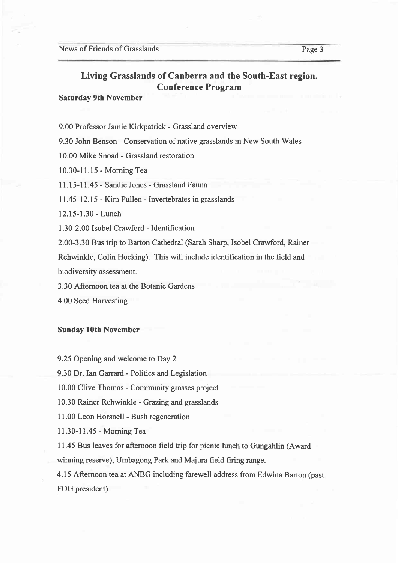# Living Grasslands of Canberra and the South-East region. Conference Program

#### Saturday 9th November

9.00 Professor Jamie Kirkpatrick - Grassland overview

9.30 John Benson - Conservation of native grasslands in New South Wales

10.00 Mike Snoad - Grassland restoration

10.30-11.15 - Morning Tea

I l.l5-l1.45 - Sandie Jones - Grassland Fauna

11.45-12.15 - Kim Pullen - Invertebrates in grasslands

12.15-1.30 - Lunch

1.30-2.00 Isobel Crawford - Identification

2.00-3.30 Bus trip to Barton Cathedral (Sarah Sharp, Isobel Crawford, Rainer

Rehwinkle, Colin Hocking). This will include identification in the field and

biodivcrsity assessment.

3.30 Afternoon tea at the Botanic Gardens

4.00 Seed Harvesting

Sunday 10th November

9.25 Opening and welcome to Day 2

9.30 Dr. Ian Garrard - Politics and Legislation

10.00 Clive Thomas - Community grasses project

10.30 Rainer Rehwinkle - Grazing and grasslands

I 1.00 Leon Horsnell - Bush regeneration

11.30-11.45 - Morning Tea

I1.45 Bus leaves for aftemoon field trip for picnic lunch to Gungahlin (Award winning reserve), Umbagong Park and Majura field firing range.

4.15 Afternoon tea at ANBG including farewell address from Edwina Barton (past FOG president)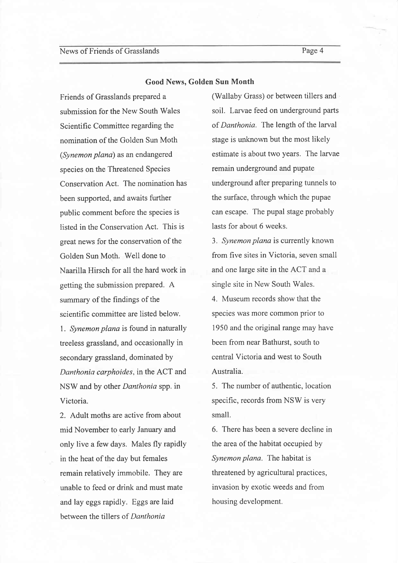#### Good News, Golden Sun Month

Friends of Grasslands prepared a submission for the New South Wales Scientific Committee regarding the nomination of the Golden Sun Moth (Synemon plana) as an endangered species on the Threatened Species Conservation Act. The nomination has been supported, and awaits further public comment before the species is listed in the Conservation Act. This is great news for the conservation of the Golden Sun Moth. Well done to Naarilla Hirsch for all the hard work in getting the submission prepared. A summary of the findings of the scientific committee are listed below. l. Synemon plana is found in naturally treeless grassland, and occasionally in secondary grassland, dominated by Danthonia carphoides. in the ACT and NSW and by other Danthonia spp. in Victoria.

2. Adult moths are active from about mid November to early January and only live a few days. Males fly rapidly in the heat of the day but females remain relatively immobile. They are unable to feed or drink and must mate and lay eggs rapidly. Eggs are laid between the tillers of Danthonia

(Wallaby Grass) or between tillers and soil. Larvae feed on underground parts of Danthonia. The length of the larval stage is unknown but the most likely estimate is about two years. The larvae remain underground and pupate underground after preparing tunnels to the surface, through which the pupae can escape. The pupal stage probably lasts for about 6 weeks.

3. Synemon plana is currently known from five sites in Victoria, seven small and one large site in the ACT and a single site in New South Wales.

4. Museum records show that the species was more common prior to 1950 and the original range may have been from near Bathurst, south to central Victoria and west to South Australia.

5. The number of authentic, location specific, records from NSW is very small.

6. There has been a severe decline in the area of the habitat occupied by Synemon plana. The habitat is threatened by agricultural practices, invasion by exotic weeds and from housing development.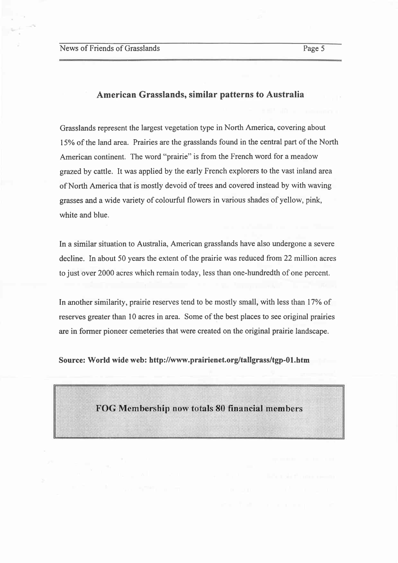#### American Grasslands, similar patterns to Australia

Grasslands represent the largest vegetation type in North America, covering about l5% of the land area. Prairies are the grasslands found in the central part of the North American continent. The word "prairie" is from the French word for a meadow grazed by cattle. It was applied by the early French explorers to the vast inland area of North America that is mostly devoid of trees and covered instead by with waving grasses and a wide variety of colourful flowers in various shades of yellow, pink, white and blue.

ln a similar situation to Australia, American grasslands have also undergone a severe decline. In about 50 years the extent of the prairie was reduced from 22 million acres to just over 2000 acres which remain today, less than one-hundredth of one percent.

In another similarity, prairie reserves tend to be mostly small, with less than 17% of reserves greater than l0 acres in area. Some of the best places to see original prairies are in former pioneer cemeteries that were created on the original prairie landscape.

Source: World wide web: http://www.prairienet.org/tallgrass/tgp-01.htm

FOG Membership now totals 80 financial members